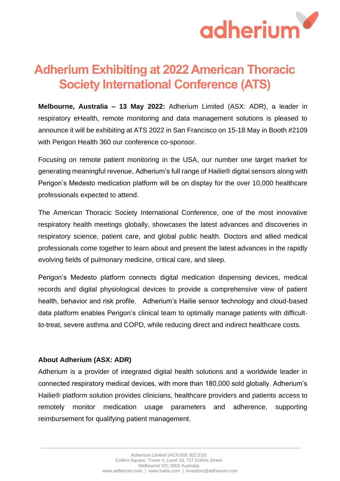

## **Adherium Exhibiting at 2022 American Thoracic Society International Conference (ATS)**

**Melbourne, Australia – 13 May 2022:** Adherium Limited (ASX: ADR), a leader in respiratory eHealth, remote monitoring and data management solutions is pleased to announce it will be exhibiting at ATS 2022 in San Francisco on 15-18 May in Booth #2109 with Perigon Health 360 our conference co-sponsor.

Focusing on remote patient monitoring in the USA, our number one target market for generating meaningful revenue, Adherium's full range of Hailie® digital sensors along with Perigon's Medesto medication platform will be on display for the over 10,000 healthcare professionals expected to attend.

The American Thoracic Society International Conference, one of the most innovative respiratory health meetings globally, showcases the latest advances and discoveries in respiratory science, patient care, and global public health. Doctors and allied medical professionals come together to learn about and present the latest advances in the rapidly evolving fields of pulmonary medicine, critical care, and sleep.

Perigon's Medesto platform connects digital medication dispensing devices, medical records and digital physiological devices to provide a comprehensive view of patient health, behavior and risk profile. Adherium's Hailie sensor technology and cloud-based data platform enables Perigon's clinical team to optimally manage patients with difficultto-treat, severe asthma and COPD, while reducing direct and indirect healthcare costs.

## **About Adherium (ASX: ADR)**

Adherium is a provider of integrated digital health solutions and a worldwide leader in connected respiratory medical devices, with more than 180,000 sold globally. Adherium's Hailie® platform solution provides clinicians, healthcare providers and patients access to remotely monitor medication usage parameters and adherence, supporting reimbursement for qualifying patient management.